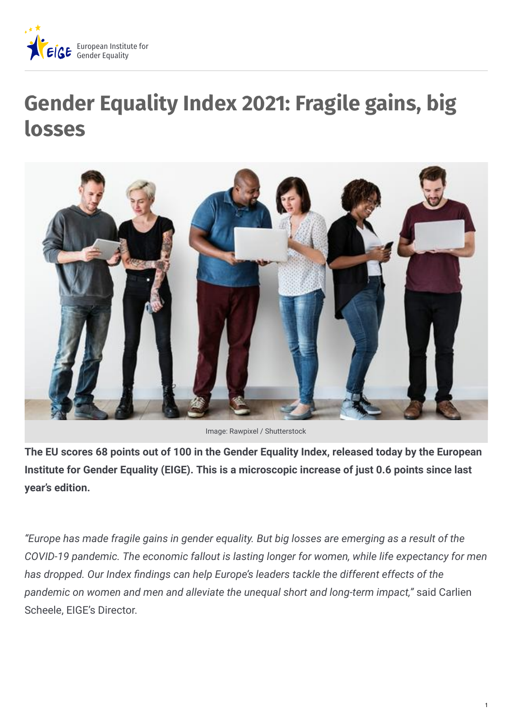

## **Gender Equality Index 2021: Fragile gains, big losses**



Image: Rawpixel / Shutterstock

**The EU scores 68 points out of 100 in the Gender Equality Index, released today by the European Institute for Gender Equality (EIGE). This is a microscopic increase of just 0.6 points since last year's edition.**

*"Europe has made fragile gains in gender equality. But big losses are emerging as a result of the COVID-19 pandemic. The economic fallout is lasting longer for women, while life expectancy for men has dropped. Our Index &ndings can help Europe's leaders tackle the different effects of the pandemic on women and men and alleviate the unequal short and long-term impact,"* said Carlien Scheele, EIGE's Director.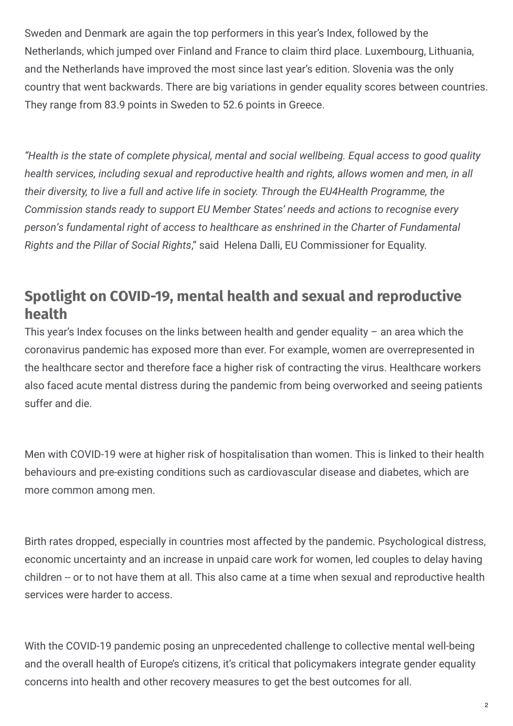Sweden and Denmark are again the top performers in this year's Index, followed by the Netherlands, which jumped over Finland and France to claim third place. Luxembourg, Lithuania, and the Netherlands have improved the most since last year's edition. Slovenia was the only country that went backwards. There are big variations in gender equality scores between countries. They range from 83.9 points in Sweden to 52.6 points in Greece.

*"Health is the state of complete physical, mental and social wellbeing. Equal access to good quality health services, including sexual and reproductive health and rights, allows women and men, in all their diversity, to live a full and active life in society. Through the EU4Health Programme, the Commission stands ready to support EU Member States' needs and actions to recognise every person's fundamental right of access to healthcare as enshrined in the Charter of Fundamental Rights and the Pillar of Social Rights*," said Helena Dalli, EU Commissioner for Equality.

## **Spotlight on COVID-19, mental health and sexual and reproductive health**

This year's Index focuses on the links between health and gender equality  $-$  an area which the coronavirus pandemic has exposed more than ever. For example, women are overrepresented in the healthcare sector and therefore face a higher risk of contracting the virus. Healthcare workers also faced acute mental distress during the pandemic from being overworked and seeing patients suffer and die.

Men with COVID-19 were at higher risk of hospitalisation than women. This is linked to their health behaviours and pre-existing conditions such as cardiovascular disease and diabetes, which are more common among men.

Birth rates dropped, especially in countries most affected by the pandemic. Psychological distress, economic uncertainty and an increase in unpaid care work for women, led couples to delay having children -- or to not have them at all. This also came at a time when sexual and reproductive health services were harder to access.

With the COVID-19 pandemic posing an unprecedented challenge to collective mental well-being and the overall health of Europe's citizens, it's critical that policymakers integrate gender equality concerns into health and other recovery measures to get the best outcomes for all.